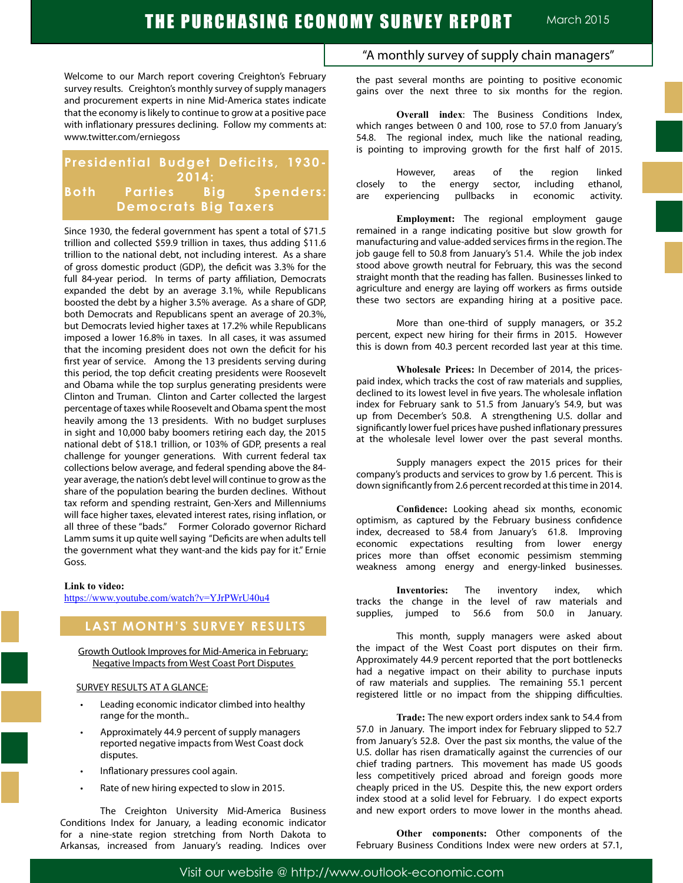Welcome to our March report covering Creighton's February survey results. Creighton's monthly survey of supply managers and procurement experts in nine Mid-America states indicate that the economy is likely to continue to grow at a positive pace with inflationary pressures declining. Follow my comments at: www.twitter.com/erniegoss

## **Presidential Budget Deficits, 1930- 2014: Both Parties Big Spenders: Democrats Big Taxers**

Since 1930, the federal government has spent a total of \$71.5 trillion and collected \$59.9 trillion in taxes, thus adding \$11.6 trillion to the national debt, not including interest. As a share of gross domestic product (GDP), the deficit was 3.3% for the full 84-year period. In terms of party affiliation, Democrats expanded the debt by an average 3.1%, while Republicans boosted the debt by a higher 3.5% average. As a share of GDP, both Democrats and Republicans spent an average of 20.3%, but Democrats levied higher taxes at 17.2% while Republicans imposed a lower 16.8% in taxes. In all cases, it was assumed that the incoming president does not own the deficit for his first year of service. Among the 13 presidents serving during this period, the top deficit creating presidents were Roosevelt and Obama while the top surplus generating presidents were Clinton and Truman. Clinton and Carter collected the largest percentage of taxes while Roosevelt and Obama spent the most heavily among the 13 presidents. With no budget surpluses in sight and 10,000 baby boomers retiring each day, the 2015 national debt of \$18.1 trillion, or 103% of GDP, presents a real challenge for younger generations. With current federal tax collections below average, and federal spending above the 84 year average, the nation's debt level will continue to grow as the share of the population bearing the burden declines. Without tax reform and spending restraint, Gen-Xers and Millenniums will face higher taxes, elevated interest rates, rising inflation, or all three of these "bads." Former Colorado governor Richard Lamm sums it up quite well saying "Deficits are when adults tell the government what they want-and the kids pay for it." Ernie Goss.

#### **Link to video:**

https://www.youtube.com/watch?v=YJrPWrU40u4

## **LAST MONTH'S SURVEY RESULTS**

Growth Outlook Improves for Mid-America in February: Negative Impacts from West Coast Port Disputes

#### SURVEY RESULTS AT A GLANCE:

- Leading economic indicator climbed into healthy range for the month..
- Approximately 44.9 percent of supply managers reported negative impacts from West Coast dock disputes.
- Inflationary pressures cool again.
- Rate of new hiring expected to slow in 2015.

The Creighton University Mid-America Business Conditions Index for January, a leading economic indicator for a nine-state region stretching from North Dakota to Arkansas, increased from January's reading. Indices over

## "A monthly survey of supply chain managers"

the past several months are pointing to positive economic gains over the next three to six months for the region.

**Overall index**: The Business Conditions Index, which ranges between 0 and 100, rose to 57.0 from January's 54.8. The regional index, much like the national reading, is pointing to improving growth for the first half of 2015.

|  |  |  | However, areas of the region linked              |  |
|--|--|--|--------------------------------------------------|--|
|  |  |  | closely to the energy sector, including ethanol, |  |
|  |  |  | are experiencing pullbacks in economic activity. |  |

**Employment:** The regional employment gauge remained in a range indicating positive but slow growth for manufacturing and value-added services firms in the region. The job gauge fell to 50.8 from January's 51.4. While the job index stood above growth neutral for February, this was the second straight month that the reading has fallen. Businesses linked to agriculture and energy are laying off workers as firms outside these two sectors are expanding hiring at a positive pace.

More than one-third of supply managers, or 35.2 percent, expect new hiring for their firms in 2015. However this is down from 40.3 percent recorded last year at this time.

**Wholesale Prices:** In December of 2014, the pricespaid index, which tracks the cost of raw materials and supplies, declined to its lowest level in five years. The wholesale inflation index for February sank to 51.5 from January's 54.9, but was up from December's 50.8. A strengthening U.S. dollar and significantly lower fuel prices have pushed inflationary pressures at the wholesale level lower over the past several months.

Supply managers expect the 2015 prices for their company's products and services to grow by 1.6 percent. This is down significantly from 2.6 percent recorded at this time in 2014.

**Confidence:** Looking ahead six months, economic optimism, as captured by the February business confidence index, decreased to 58.4 from January's 61.8. Improving economic expectations resulting from lower energy prices more than offset economic pessimism stemming weakness among energy and energy-linked businesses.

**Inventories:** The inventory index, which tracks the change in the level of raw materials and supplies, jumped to 56.6 from 50.0 in January.

This month, supply managers were asked about the impact of the West Coast port disputes on their firm. Approximately 44.9 percent reported that the port bottlenecks had a negative impact on their ability to purchase inputs of raw materials and supplies. The remaining 55.1 percent registered little or no impact from the shipping difficulties.

**Trade:** The new export orders index sank to 54.4 from 57.0 in January. The import index for February slipped to 52.7 from January's 52.8. Over the past six months, the value of the U.S. dollar has risen dramatically against the currencies of our chief trading partners. This movement has made US goods less competitively priced abroad and foreign goods more cheaply priced in the US. Despite this, the new export orders index stood at a solid level for February. I do expect exports and new export orders to move lower in the months ahead.

**Other components:** Other components of the February Business Conditions Index were new orders at 57.1,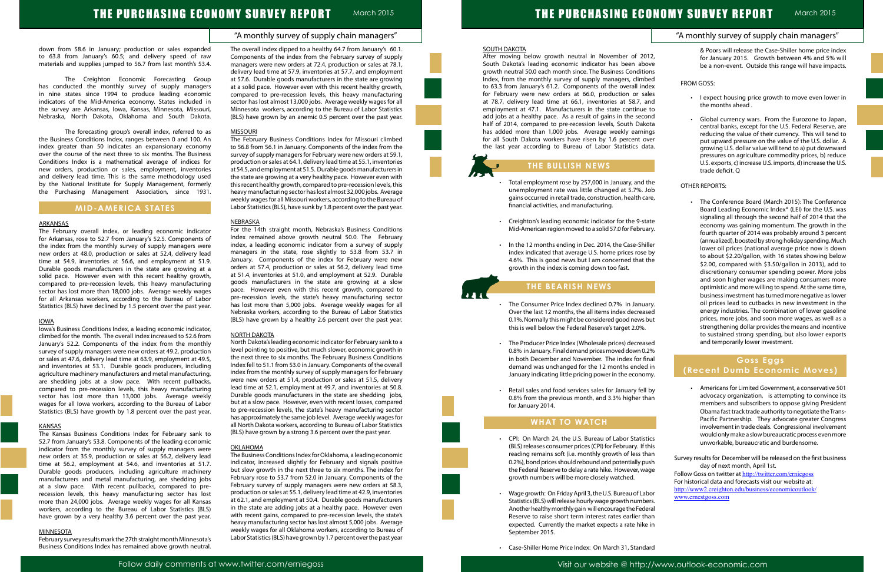"A monthly survey of supply chain managers"

# THE PURCHASING ECONOMY SURVEY REPORT March 2015

### down from 58.6 in January; production or sales expanded to 63.8 from January's 60.5; and delivery speed of raw materials and supplies jumped to 56.7 from last month's 53.4.

The Creighton Economic Forecasting Group has conducted the monthly survey of supply managers in nine states since 1994 to produce leading economic indicators of the Mid-America economy. States included in the survey are Arkansas, Iowa, Kansas, Minnesota, Missouri, Nebraska, North Dakota, Oklahoma and South Dakota.

The forecasting group's overall index, referred to as the Business Conditions Index, ranges between 0 and 100. An index greater than 50 indicates an expansionary economy over the course of the next three to six months. The Business Conditions Index is a mathematical average of indices for new orders, production or sales, employment, inventories and delivery lead time. This is the same methodology used by the National Institute for Supply Management, formerly the Purchasing Management Association, since 1931.

## **MID-AMERICA STATES**

#### ARKANSAS

The February overall index, or leading economic indicator for Arkansas, rose to 52.7 from January's 52.5. Components of the index from the monthly survey of supply managers were new orders at 48.0, production or sales at 52.4, delivery lead time at 54.9, inventories at 56.6, and employment at 51.9. Durable goods manufacturers in the state are growing at a solid pace. However even with this recent healthy growth, compared to pre-recession levels, this heavy manufacturing sector has lost more than 18,000 jobs. Average weekly wages for all Arkansas workers, according to the Bureau of Labor Statistics (BLS) have declined by 1.5 percent over the past year.

#### IOWA

Iowa's Business Conditions Index, a leading economic indicator, climbed for the month. The overall index increased to 52.6 from January's 52.2. Components of the index from the monthly survey of supply managers were new orders at 49.2, production or sales at 47.6, delivery lead time at 63.9, employment at 49.5, and inventories at 53.1. Durable goods producers, including agriculture machinery manufacturers and metal manufacturing, are shedding jobs at a slow pace. With recent pullbacks, compared to pre-recession levels, this heavy manufacturing sector has lost more than 13,000 jobs. Average weekly wages for all Iowa workers, according to the Bureau of Labor Statistics (BLS) have growth by 1.8 percent over the past year.

#### KANSAS

The Kansas Business Conditions Index for February sank to 52.7 from January's 53.8. Components of the leading economic indicator from the monthly survey of supply managers were new orders at 35.9, production or sales at 56.2, delivery lead time at 56.2, employment at 54.6, and inventories at 51.7. Durable goods producers, including agriculture machinery manufacturers and metal manufacturing, are shedding jobs at a slow pace. With recent pullbacks, compared to prerecession levels, this heavy manufacturing sector has lost more than 24,000 jobs. Average weekly wages for all Kansas workers, according to the Bureau of Labor Statistics (BLS) have grown by a very healthy 3.6 percent over the past year.

#### MINNESOTA

February survey results mark the 27th straight month Minnesota's Business Conditions Index has remained above growth neutral.

The overall index dipped to a healthy 64.7 from January's 60.1. Components of the index from the February survey of supply managers were new orders at 72.4, production or sales at 78.1, delivery lead time at 57.9, inventories at 57.7, and employment at 57.6. Durable goods manufacturers in the state are growing at a solid pace. However even with this recent healthy growth, compared to pre-recession levels, this heavy manufacturing sector has lost almost 13,000 jobs. Average weekly wages for all Minnesota workers, according to the Bureau of Labor Statistics (BLS) have grown by an anemic 0.5 percent over the past year.

#### MISSOURI

- Total employment rose by 257,000 in January, and unemployment rate was little changed at 5.7%. gains occurred in retail trade, construction, health financial activities, and manufacturing.
- Creighton's leading economic indicator for the 9-state. Mid-American region moved to a solid 57.0 for Febr
- In the 12 months ending in Dec. 2014, the Case-Shiller index indicated that average U.S. home prices ros 4.6%. This is good news but I am concerned that growth in the index is coming down too fast.

The February Business Conditions Index for Missouri climbed to 56.8 from 56.1 in January. Components of the index from the survey of supply managers for February were new orders at 59.1, production or sales at 64.1, delivery lead time at 55.1, inventories at 54.5, and employment at 51.5. Durable goods manufacturers in the state are growing at a very healthy pace. However even with this recent healthy growth, compared to pre-recession levels, this heavy manufacturing sector has lost almost 32,000 jobs. Average weekly wages for all Missouri workers, according to the Bureau of Labor Statistics (BLS), have sunk by 1.8 percent over the past year.

- The Consumer Price Index declined 0.7% in Jan Over the last 12 months, the all items index decre 0.1%. Normally this might be considered good new this is well below the Federal Reserve's target 2.0%.
- The Producer Price Index (Wholesale prices) decre 0.8% in January. Final demand prices moved down in both December and November. The index for demand was unchanged for the 12 months ende January indicating little pricing power in the economy.
- Retail sales and food services sales for January fe 0.8% from the previous month, and 3.3% higher for January 2014.

#### NEBRASKA

- CPI: On March 24, the U.S. Bureau of Labor Stati (BLS) releases consumer prices (CPI) for February. I reading remains soft (i.e. monthly growth of less 0.2%), bond prices should rebound and potentially the Federal Reserve to delay a rate hike. However, v growth numbers will be more closely watched.
- Wage growth: On Friday April 3, the U.S. Bureau of L Statistics (BLS) will release hourly wage growth num Another healthy monthly gain will encourage the Fe Reserve to raise short term interest rates earlier expected. Currently the market expects a rate hi September 2015.
- • Case-Shiller Home Price Index: On March 31, Standard

For the 14th straight month, Nebraska's Business Conditions Index remained above growth neutral 50.0. The February index, a leading economic indicator from a survey of supply managers in the state, rose slightly to 53.8 from 53.7 in January. Components of the index for February were new orders at 57.4, production or sales at 56.2, delivery lead time at 51.4, inventories at 51.0, and employment at 52.9. Durable goods manufacturers in the state are growing at a slow pace. However even with this recent growth, compared to pre-recession levels, the state's heavy manufacturing sector has lost more than 5,000 jobs. Average weekly wages for all Nebraska workers, according to the Bureau of Labor Statistics (BLS) have grown by a healthy 2.6 percent over the past year.

#### NORTH DAKOTA

North Dakota's leading economic indicator for February sank to a level pointing to positive, but much slower, economic growth in the next three to six months. The February Business Conditions Index fell to 51.1 from 53.0 in January. Components of the overall index from the monthly survey of supply managers for February were new orders at 51.4, production or sales at 51.5, delivery lead time at 52.1, employment at 49.7, and inventories at 50.8. Durable goods manufacturers in the state are shedding jobs, but at a slow pace. However, even with recent losses, compared to pre-recession levels, the state's heavy manufacturing sector has approximately the same job level. Average weekly wages for all North Dakota workers, according to Bureau of Labor Statistics (BLS) have grown by a strong 3.6 percent over the past year.

#### **OKLAHOMA**

|                       | "A monthly survey of supply chain managers"                                                                                                                                                                                              |
|-----------------------|------------------------------------------------------------------------------------------------------------------------------------------------------------------------------------------------------------------------------------------|
| 2012,<br>bove         | & Poors will release the Case-Shiller home price index<br>for January 2015. Growth between 4% and 5% will<br>be a non-event. Outside this range will have impacts.                                                                       |
| tions                 |                                                                                                                                                                                                                                          |
| nbed<br>ndex          | FROM GOSS:                                                                                                                                                                                                                               |
| sales<br>and<br>ie to | I expect housing price growth to move even lower in<br>the months ahead.                                                                                                                                                                 |
| cond                  | Global currency wars. From the Eurozone to Japan,<br>$\bullet$                                                                                                                                                                           |
| akota                 | central banks, except for the U.S. Federal Reserve, are                                                                                                                                                                                  |
| ings<br>over          | reducing the value of their currency. This will tend to                                                                                                                                                                                  |
| data.                 | put upward pressure on the value of the U.S. dollar. A<br>growing U.S. dollar value will tend to a) put downward<br>pressures on agriculture commodity prices, b) reduce<br>U.S. exports, c) increase U.S. imports, d) increase the U.S. |
|                       | trade deficit. O                                                                                                                                                                                                                         |
| d the<br>. Job        | <b>OTHER REPORTS:</b>                                                                                                                                                                                                                    |
| care,                 | The Conference Board (March 2015): The Conference                                                                                                                                                                                        |
|                       | Board Leading Economic Index® (LEI) for the U.S. was                                                                                                                                                                                     |
| state                 | signaling all through the second half of 2014 that the<br>economy was gaining momentum. The growth in the                                                                                                                                |
| uary.                 | fourth quarter of 2014 was probably around 3 percent                                                                                                                                                                                     |
| hiller                | (annualized), boosted by strong holiday spending. Much                                                                                                                                                                                   |
| se by                 | lower oil prices (national average price now is down                                                                                                                                                                                     |
| t the                 | to about \$2.20/gallon, with 16 states showing below                                                                                                                                                                                     |
|                       | \$2.00, compared with \$3.50/gallon in 2013), add to                                                                                                                                                                                     |
|                       | discretionary consumer spending power. More jobs<br>and soon higher wages are making consumers more                                                                                                                                      |
|                       | optimistic and more willing to spend. At the same time,                                                                                                                                                                                  |
|                       | business investment has turned more negative as lower                                                                                                                                                                                    |
| uary.                 | oil prices lead to cutbacks in new investment in the                                                                                                                                                                                     |
| ased                  | energy industries. The combination of lower gasoline                                                                                                                                                                                     |
| 's but                | prices, more jobs, and soon more wages, as well as a<br>strengthening dollar provides the means and incentive                                                                                                                            |
| 6.                    | to sustained strong spending, but also lower exports                                                                                                                                                                                     |
| ased                  | and temporarily lower investment.                                                                                                                                                                                                        |
| 0.2%                  |                                                                                                                                                                                                                                          |
| final                 | Goss Eggs                                                                                                                                                                                                                                |
| ed in<br>omy.         | (Recent Dumb Economic Moves)                                                                                                                                                                                                             |
| ell by                | Americans for Limited Government, a conservative 501                                                                                                                                                                                     |
| than                  | advocacy organization, is attempting to convince its                                                                                                                                                                                     |
|                       | members and subscribers to oppose giving President                                                                                                                                                                                       |
|                       | Obama fast track trade authority to negotiate the Trans-<br>Pacific Partnership. They advocate greater Congress                                                                                                                          |
|                       | involvement in trade deals. Congressional involvement                                                                                                                                                                                    |
| istics                | would only make a slow bureaucratic process even more                                                                                                                                                                                    |
| f this                | unworkable, bureaucratic and burdensome.                                                                                                                                                                                                 |
| than                  |                                                                                                                                                                                                                                          |
| push                  | Survey results for December will be released on the first business                                                                                                                                                                       |
| vage                  | day of next month, April 1st.<br>Follow Goss on twitter at http://twitter.com/erniegoss                                                                                                                                                  |
|                       | For historical data and forecasts visit our website at:                                                                                                                                                                                  |
| .abor                 | http://www2.creighton.edu/business/economicoutlook/                                                                                                                                                                                      |
| bers.                 | www.ernestgoss.com                                                                                                                                                                                                                       |
| deral                 |                                                                                                                                                                                                                                          |
| than                  |                                                                                                                                                                                                                                          |
| ke in                 |                                                                                                                                                                                                                                          |

The Business Conditions Index for Oklahoma, a leading economic indicator, increased slightly for February and signals positive but slow growth in the next three to six months. The index for February rose to 53.7 from 52.0 in January. Components of the February survey of supply managers were new orders at 58.3, production or sales at 55.1, delivery lead time at 42.9, inventories at 62.1, and employment at 50.4. Durable goods manufacturers in the state are adding jobs at a healthy pace. However even with recent gains, compared to pre-recession levels, the state's heavy manufacturing sector has lost almost 5,000 jobs. Average weekly wages for all Oklahoma workers, according to Bureau of Labor Statistics (BLS) have grown by 1.7 percent over the past year

#### SOUTH DAKOTA

After moving below growth neutral in November of 2 South Dakota's leading economic indicator has been al growth neutral 50.0 each month since. The Business Condit Index, from the monthly survey of supply managers, clin to 63.3 from January's 61.2. Components of the overall in for February were new orders at 66.0, production or at 78.7, delivery lead time at 66.1, inventories at 58.7, employment at 47.1. Manufacturers in the state continu add jobs at a healthy pace. As a result of gains in the sed half of 2014, compared to pre-recession levels, South Da has added more than 1,000 jobs. Average weekly earn for all South Dakota workers have risen by 1.6 percent the last year according to Bureau of Labor Statistics

## **THE BULLISH NEWS**

## **THE BEARISH NEWS**

## **WHAT TO WATCH**

ľ